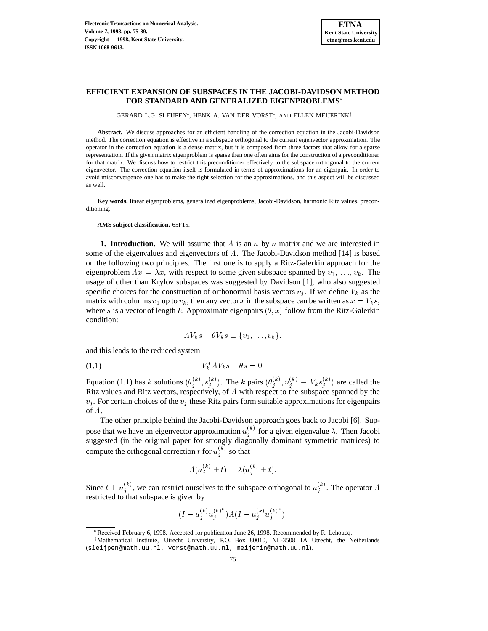# **EFFICIENT EXPANSION OF SUBSPACES IN THE JACOBI-DAVIDSON METHOD FOR STANDARD AND GENERALIZED EIGENPROBLEMS**

GERARD L.G. SLEIJPEN\*, HENK A. VAN DER VORST\*, AND ELLEN MEIJERINK†

**Abstract.** We discuss approaches for an efficient handling of the correction equation in the Jacobi-Davidson method. The correction equation is effective in a subspace orthogonal to the current eigenvector approximation. The operator in the correction equation is a dense matrix, but it is composed from three factors that allow for a sparse representation. If the given matrix eigenproblem is sparse then one often aims for the construction of a preconditioner for that matrix. We discuss how to restrict this preconditioner effectively to the subspace orthogonal to the current eigenvector. The correction equation itself is formulated in terms of approximations for an eigenpair. In order to avoid misconvergence one has to make the right selection for the approximations, and this aspect will be discussed as well.

**Key words.** linear eigenproblems, generalized eigenproblems, Jacobi-Davidson, harmonic Ritz values, preconditioning.

**AMS subject classification.** 65F15.

**1. Introduction.** We will assume that A is an n by n matrix and we are interested in some of the eigenvalues and eigenvectors of A. The Jacobi-Davidson method [14] is based on the following two principles. The first one is to apply a Ritz-Galerkin approach for the eigenproblem  $Ax = \lambda x$ , with respect to some given subspace spanned by  $v_1, \ldots, v_k$ . The usage of other than Krylov subspaces was suggested by Davidson [1], who also suggested specific choices for the construction of orthonormal basis vectors  $v_i$ . If we define  $V_k$  as the matrix with columns  $v_1$  up to  $v_k$ , then any vector x in the subspace can be written as  $x = V_k s$ , where s is a vector of length k. Approximate eigenpairs  $(\theta, x)$  follow from the Ritz-Galerkin condition:

$$
AV_ks - \theta V_ks \perp \{v_1, \ldots, v_k\},\
$$

and this leads to the reduced system

$$
(1.1) \t\t V_k^* A V_k s - \theta s = 0.
$$

Equation (1.1) has k solutions  $(\theta_i^{(\kappa)}, s_i^{(\kappa)})$ . The k pairs  $(\theta_i^{(\kappa)}, u_i^{(\kappa)} \equiv V_k s_i^{(\kappa)})$  are called the Ritz values and Ritz vectors, respectively, of A with respect to the subspace spanned by the  $v_i$ . For certain choices of the  $v_i$  these Ritz pairs form suitable approximations for eigenpairs of A.

The other principle behind the Jacobi-Davidson approach goes back to Jacobi [6]. Suppose that we have an eigenvector approximation  $u_i^{(k)}$  for a gi  $j_i^{(k)}$  for a given eigenvalue  $\lambda$ . Then Jacobi suggested (in the original paper for strongly diagonally dominant symmetric matrices) to compute the orthogonal correction t for  $u_i^{(k)}$  so that

<sup>j</sup>

$$
A(u_j^{(k)}+t)=\lambda(u_j^{(k)}+t).
$$

Since  $t \perp u_j^{(k)}$ , we can restrict ourselves to the subspace orthogonal to  $u_j^{(k)}$ . The operator A restricted to that subspace is given by

$$
(I - {u_j^{(k)}}{u_j^{(k)}}^*) A (I - {u_j^{(k)}}{u_j^{(k)}}^*),
$$

 $\frac{3}{3}$ <br>Received February 6, 1998. Accepted for publication June 26, 1998. Recommended by R. Lehoucq.

<sup>&</sup>lt;sup>†</sup>Mathematical Institute, Utrecht University, P.O. Box 80010, NL-3508 TA Utrecht, the Netherlands (sleijpen@math.uu.nl, vorst@math.uu.nl, meijerin@math.uu.nl).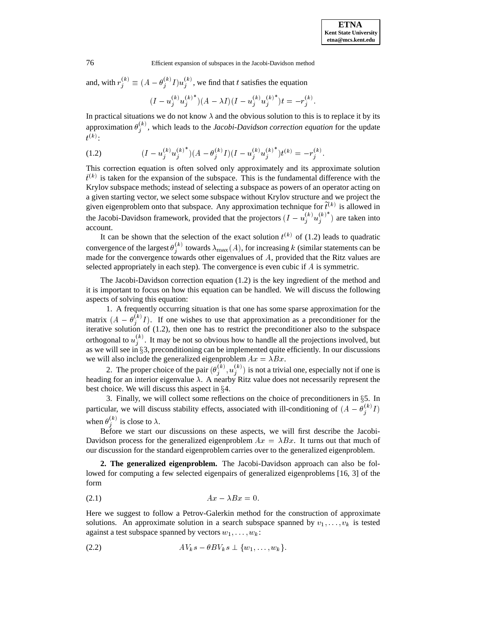and, with  $r_i^{(k)} \equiv (A - \theta_i^{(k)} I) u_i^{(k)}$ , we find that t satisfies the equation <sup>j</sup>

$$
(I - u_j^{(k)}{u_j^{(k)}}^*)(A - \lambda I)(I - {u_j^{(k)}}{u_j^{(k)}}^*)t = -r_j^{(k)}.
$$

In practical situations we do not know  $\lambda$  and the obvious solution to this is to replace it by its approximation  $\theta_i^{(k)}$ , which leads to the *Jacobi-Davidson correction equation* for the update <u>je za obrazu u predstavanju u predstavanju u predstavanju u predstavanju u predstavanju u predstavanju u predstavanju u predstavanju u predstavanju u predstavanju u predstavanju u predstavanju u predstavanju u predstavanj</u>  $\binom{k}{k}$ :

(1.2) 
$$
(I - u_j^{(k)} u_j^{(k)^*})(A - \theta_j^{(k)} I)(I - u_j^{(k)} u_j^{(k)^*})t^{(k)} = -r_j^{(k)}.
$$

This correction equation is often solved only approximately and its approximate solution  $\tilde{t}^{(k)}$  is taken for the expansion of the subspace. This is the fundamental difference with the Krylov subspace methods; instead of selecting a subspace as powers of an operator acting on a given starting vector, we select some subspace without Krylov structure and we project the given eigenproblem onto that subspace. Any approximation technique for  $t^{(k)}$  is allowed in the Jacobi-Davidson framework, provided that the projectors  $(I - u_j^{(\kappa)} u_j^{(\kappa)})$  are taken into account.

It can be shown that the selection of the exact solution  $t^{(k)}$  of (1.2) leads to quadratic convergence of the largest  $\theta_i^{(k)}$  towar  $\lambda_{\max}(A)$ , for increasing k (similar statements can be made for the convergence towards other eigenvalues of A, provided that the Ritz values are selected appropriately in each step). The convergence is even cubic if  $A$  is symmetric.

The Jacobi-Davidson correction equation (1.2) is the key ingredient of the method and it is important to focus on how this equation can be handled. We will discuss the following aspects of solving this equation:

1. A frequently occurring situation is that one has some sparse approximation for the matrix  $(A - \theta_i^{(k)} I)$ . If one wishes to use that approximation as a preconditioner for the iterative solution of (1.2), then one has to restrict the preconditioner also to the subspace orthogonal to  $u_i^{(k)}$ . It may be not so obvious how to handle all the projections involved, but as we will see in §3, preconditioning can be implemented quite efficiently. In our discussions we will also include the generalized eigenproblem  $Ax = \lambda Bx$ .

2. The proper choice of the pair  $(\theta_j^{(k)}, u_j^{(k)})$  is not a trivial one, especially not if one is heading for an interior eigenvalue  $\lambda$ . A nearby Ritz value does not necessarily represent the best choice. We will discuss this aspect in  $\S 4$ .

3. Finally, we will collect some reflections on the choice of preconditioners in  $\S$ 5. In particular, we will discuss stability effects, associated with ill-conditioning of  $(A - \theta_i^{(k)} I)$ when  $\theta_i^{(k)}$  is close to  $\lambda$ .

Before we start our discussions on these aspects, we will first describe the Jacobi-Davidson process for the generalized eigenproblem  $Ax = \lambda Bx$ . It turns out that much of our discussion for the standard eigenproblem carries over to the generalized eigenproblem.

**2. The generalized eigenproblem.** The Jacobi-Davidson approach can also be followed for computing a few selected eigenpairs of generalized eigenproblems [16, 3] of the form

$$
(2.1) \t\t\t Ax - \lambda Bx = 0.
$$

Here we suggest to follow a Petrov-Galerkin method for the construction of approximate solutions. An approximate solution in a search subspace spanned by  $v_1, \ldots, v_k$  is tested against a test subspace spanned by vectors  $w_1, \ldots, w_k$ :

$$
(2.2) \t\t\t AVks - \theta BVks \perp \{w_1,\ldots,w_k\}.
$$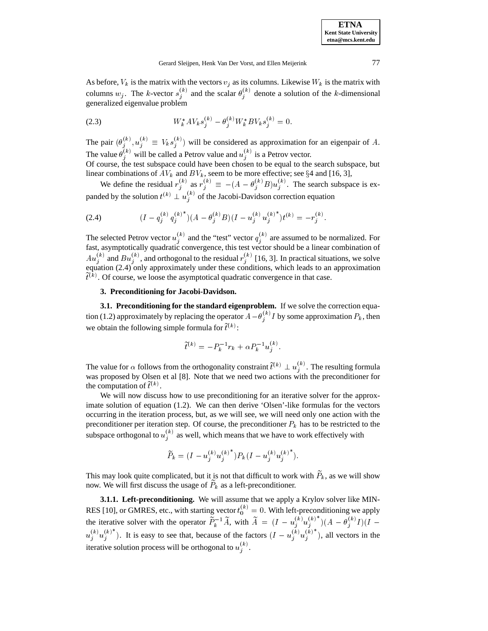As before,  $V_k$  is the matrix with the vectors  $v_j$  as its columns. Likewise  $W_k$  is the matrix with columns  $w_j$ . The k-vector  $s_j^{(k)}$  and the scalar  $\theta_j^{(k)}$  denote a solution of the k-dimensional generalized eigenvalue problem

(2.3) 
$$
W_k^* A V_k s_j^{(k)} - \theta_j^{(k)} W_k^* B V_k s_j^{(k)} = 0.
$$

The pair  $(\theta_j^{(k)}, u_j^{(k)} \equiv V_k s_j^{(k)})$  will be considered as approximation for an eigenpair of A. The value  $\theta_j^{(k)}$  will be called a Petrov value and  $u_j^{(k)}$  is a Petrov vector.

Of course, the test subspace could have been chosen to be equal to the search subspace, but linear combinations of  $AV_k$  and  $BV_k$ , seem to be more effective; see §4 and [16, 3],

We define the residual  $r_j^{(k)}$  as  $r_j^{(k)} \equiv -(A - \theta_j^{(k)}B)u_j^{(k)}$ . The search subspace is expanded by the solution  $t^{(k)} \perp u_i^{(k)}$  of the Jacobi-Davidson correction equation <sup>j</sup>

(2.4) 
$$
(I - q_j^{(k)} q_j^{(k)^*})(A - \theta_j^{(k)} B)(I - u_j^{(k)} u_j^{(k)^*})t^{(k)} = -r_j^{(k)}.
$$

The selected Petrov vector  $u_i^{(k)}$  and the  $j^{(k)}$  and the "test" vector  $q_j^{(k)}$  are a  $j^{(k)}$  are assumed to be normalized. For fast, asymptotically quadratic convergence, this test vector should be a linear combination of  $Au_j^{(k)}$  and  $Bu_j^{(k)}$ , and orthogonal to the residual  $r_j^{(k)}$  [16, 3]. In practical situations, we solve equation (2.4) only approximately under these conditions, which leads to an approximation  $t^{(k)}$ . Of course, we loose the asymptotical quadratic convergence in that case.

### **3. Preconditioning for Jacobi-Davidson.**

**3.1. Preconditioning for the standard eigenproblem.** If we solve the correction equation (1.2) approximately by replacing the operator  $A - \theta_i^{(k)} I$  by some approximation  $P_k$ , then we obtain the following simple formula for  $t^{(k)}$ :

$$
\widetilde{t}^{(k)} = -P_k^{-1}r_k + \alpha P_k^{-1}u_j^{(k)}.
$$

The value for  $\alpha$  follows from the orthogonality constraint  $t^{(k)} \perp u_i^{(k)}$ . The resulting formula was proposed by Olsen et al [8]. Note that we need two actions with the preconditioner for the computation of  $t^{(k)}$ .

We will now discuss how to use preconditioning for an iterative solver for the approximate solution of equation (1.2). We can then derive 'Olsen'-like formulas for the vectors occurring in the iteration process, but, as we will see, we will need only one action with the preconditioner per iteration step. Of course, the preconditioner  $P_k$  has to be restricted to the subspace orthogonal to  $u_j^{(k)}$  as well, which means that we have to work effectively with

$$
\widetilde{P}_k = (I - {u_j^{(k)}}{u_j^{(k)}}^*) P_k (I - {u_j^{(k)}}{u_j^{(k)}}^*) .
$$

This may look quite complicated, but it is not that difficult to work with  $P_k$ , as we will show now. We will first discuss the usage of  $P_k$  as a left-preconditioner.

**3.1.1. Left-preconditioning.** We will assume that we apply a Krylov solver like MIN-RES [10], or GMRES, etc., with starting vector  $t_0^{(k)} = 0$ . With left-preconditioning we apply the iterative solver with the operator  $P_k^{-1}A$ , with  $A = (I - u_i^{(k)} u_i^{(k)}) (A - \theta_i^{(k)} I)(I$  $u_j^{(k)}u_j^{(k)}$ ). It is easy to see that, because of the factors  $(I - u_j^{(k)}u_j^{(k)})$ , all vectors in the iterative solution process will be orthogonal to  $u_i^{(\kappa)}$ .

<u>je za obrazu u predstavanju u predstavanju u predstavanju u predstavanju u predstavanju u predstavanju u predstavanju u predstavanju u predstavanju u predstavanju u predstavanju u predstavanju u predstavanju u predstavanj</u>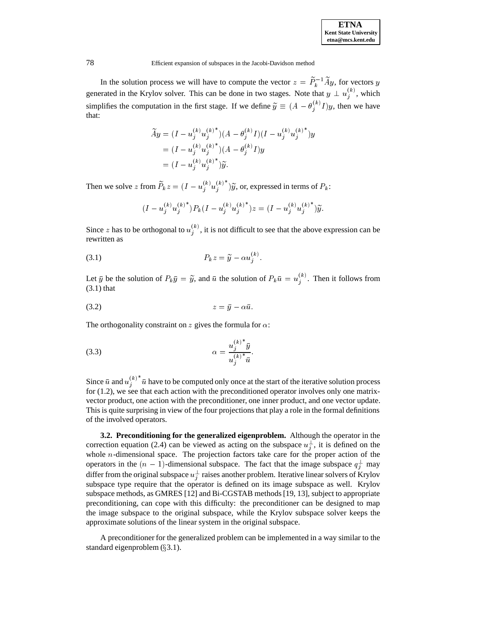In the solution process we will have to compute the vector  $z = P_k^{-1}Ay$ , for vectors y generated in the Krylov solver. This can be done in two stages. Note that  $y \perp u_j^{(k)}$ , which simplifies the computation in the first stage. If we define  $\widetilde{y} \equiv (A - \theta_i^{(k)} I)y$ , then we have that:

$$
\widetilde{A}y = (I - u_j^{(k)} u_j^{(k)^*}) (A - \theta_j^{(k)} I)(I - u_j^{(k)} u_j^{(k)^*})y
$$
  
=  $(I - u_j^{(k)} u_j^{(k)^*}) (A - \theta_j^{(k)} I)y$   
=  $(I - u_j^{(k)} u_j^{(k)^*}) \widetilde{y}.$ 

Then we solve z from  $P_k z = (I - u_i^{(\kappa)} u_i^{(\kappa)}) \widetilde{y}$ , or, expressed in terms of  $P_k$ :

$$
(I - u_j^{(k)} u_j^{(k)^*}) P_k (I - u_j^{(k)} u_j^{(k)^*}) z = (I - u_j^{(k)} u_j^{(k)^*}) \widetilde{y}.
$$

Since z has to be orthogonal to  $u_i^{(k)}$ , it is not difficult to see that the above expression can be <sup>j</sup> rewritten as

$$
(3.1) \t\t\t P_k z = \widetilde{y} - \alpha u_j^{(k)}.
$$

Let  $\bar{y}$  be the solution of  $P_k \bar{y} = \tilde{y}$ , and  $\bar{u}$  the solution of  $P_k \bar{u} = u_i^{(k)}$ . Then it  $j^{(k)}$ . Then it follows from  $(3.1)$  that

$$
(3.2) \t\t\t z = \bar{y} - \alpha \bar{u}.
$$

The orthogonality constraint on z gives the formula for  $\alpha$ :

$$
\alpha = \frac{u_j^{(k)} \bar{y}}{u_j^{(k)} \bar{u}}.
$$

Since  $\bar{u}$  and  $u_j^{(k)}$   $\bar{u}$  have to be computed only once at the start of the iterative solution process for (1.2), we see that each action with the preconditioned operator involves only one matrixvector product, one action with the preconditioner, one inner product, and one vector update. This is quite surprising in view of the four projections that play a role in the formal definitions of the involved operators.

**3.2. Preconditioning for the generalized eigenproblem.** Although the operator in the correction equation (2.4) can be viewed as acting on the subspace  $u_i^{\perp}$ , it is defined on the <sup>j</sup> whole  $n$ -dimensional space. The projection factors take care for the proper action of the operators in the  $(n-1)$ -dimensional subspace. The fact that the image subspace  $q_i^{\perp}$  may <sup>j</sup> differ from the original subspace  $u_j^{\perp}$  raises another problem. Iterative linear solvers of Krylov subspace type require that the operator is defined on its image subspace as well. Krylov subspace methods, as GMRES [12] and Bi-CGSTAB methods [19, 13], subject to appropriate preconditioning, can cope with this difficulty: the preconditioner can be designed to map the image subspace to the original subspace, while the Krylov subspace solver keeps the approximate solutions of the linear system in the original subspace.

A preconditioner for the generalized problem can be implemented in a way similar to the standard eigenproblem  $(\S 3.1)$ .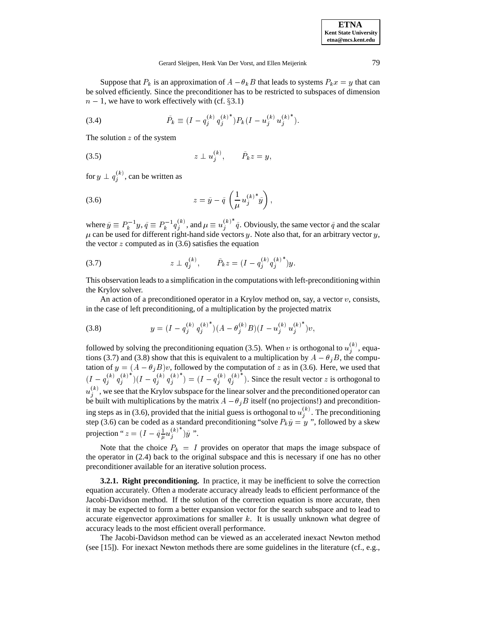Suppose that  $P_k$  is an approximation of  $A - \theta_k B$  that leads to systems  $P_k x = y$  that can be solved efficiently. Since the preconditioner has to be restricted to subspaces of dimension  $n - 1$ , we have to work effectively with (cf. §3.1)

(3.4) 
$$
\tilde{P}_k \equiv (I - q_j^{(k)} q_j^{(k)^*}) P_k (I - u_j^{(k)} u_j^{(k)^*}).
$$

The solution  $z$  of the system

$$
(3.5) \t\t\t z \perp u_j^{(k)}, \t\t \tilde{P}_k z = y,
$$

for  $y \perp q_i^{(k)}$ , can be written as **j** in the set of the set of the set of the set of the set of the set of the set of the set of the set of the set of the set of the set of the set of the set of the set of the set of the set of the set of the set of the se

$$
(3.6) \t\t z = \tilde{y} - \tilde{q} \left( \frac{1}{\mu} u_j^{(k)^*} \tilde{y} \right),
$$

where  $\tilde{y} \equiv P_k^{-1}y$ ,  $\tilde{q} \equiv P_k^{-1}q_i^{(k)}$ , and  $j^{(k)}$ , and  $\mu \equiv u_j^{(k)}$   $\tilde{q}$ . Obviously, the same vector  $\tilde{q}$  and the scalar  $\mu$  can be used for different right-hand side vectors y. Note also that, for an arbitrary vector y, the vector  $z$  computed as in (3.6) satisfies the equation

(3.7) 
$$
z \perp q_j^{(k)}, \qquad \tilde{P}_k z = (I - q_j^{(k)} q_j^{(k)^*}) y.
$$

This observation leads to a simplification in the computations with left-preconditioning within the Krylov solver.

An action of a preconditioned operator in a Krylov method on, say, a vector  $v$ , consists, in the case of left preconditioning, of a multiplication by the projected matrix

(3.8) 
$$
y = (I - q_j^{(k)} q_j^{(k)^*})(A - \theta_j^{(k)} B)(I - u_j^{(k)} u_j^{(k)^*})v,
$$

followed by solving the preconditioning equation (3.5). When v is orthogonal to  $u_j^{(k)}$ , equations (3.7) and (3.8) show that this is equivalent to a multiplication by  $A - \theta_j B$ , the computation of  $y = (A - \theta_i B)v$ , followed by the computation of z as in (3.6). Here, we used that  $(I - q_i^{(k)} q_i^{(k)}) (I - q_i^{(k)} q_i^{(k)}) = (I - q_i^{(k)} q_i^{(k)})$ . Since the result vector z is orthogonal to  $u_i^{(k)}$ , we see that the Krylov subspace for the linear solver and the preconditioned operator can **j** is a set of the set of the set of the set of the set of the set of the set of the set of the set of the set of the set of the set of the set of the set of the set of the set of the set of the set of the set of the set be built with multiplications by the matrix  $A - \theta_i B$  itself (no projections!) and preconditioning steps as in (3.6), provided that the initial guess is orthogonal to  $u_j^{(k)}$ . The preconditioning step (3.6) can be coded as a standard preconditioning "solve  $P_k\tilde{y} = y$ ", followed by a skew projection " $z = (I - \tilde{q}\frac{1}{\mu}u_j^{(k)})\tilde{y}$ ". 

Note that the choice  $P_k = I$  provides on operator that maps the image subspace of the operator in (2.4) back to the original subspace and this is necessary if one has no other preconditioner available for an iterative solution process.

**3.2.1. Right preconditioning.** In practice, it may be inefficient to solve the correction equation accurately. Often a moderate accuracy already leads to efficient performance of the Jacobi-Davidson method. If the solution of the correction equation is more accurate, then it may be expected to form a better expansion vector for the search subspace and to lead to accurate eigenvector approximations for smaller  $k$ . It is usually unknown what degree of accuracy leads to the most efficient overall performance.

The Jacobi-Davidson method can be viewed as an accelerated inexact Newton method (see [15]). For inexact Newton methods there are some guidelines in the literature (cf., e.g.,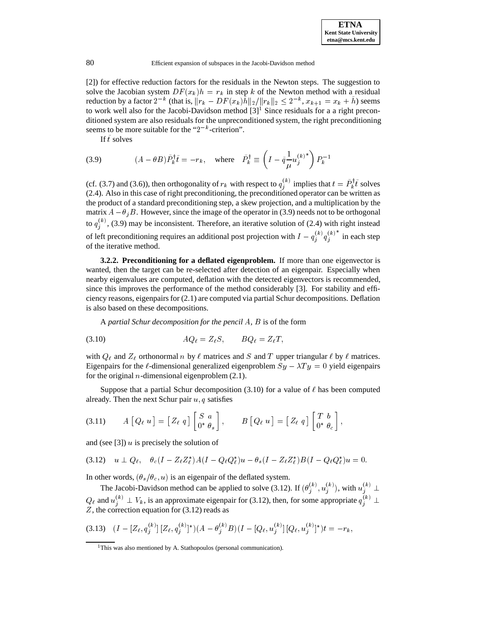[2]) for effective reduction factors for the residuals in the Newton steps. The suggestion to solve the Jacobian system  $DF(x_k)h = r_k$  in step k of the Newton method with a residual reduction by a factor  $2^{-k}$  (that is,  $||r_k - DF(x_k)h||_2/||r_k||_2 \leq 2^{-k}, x_{k+1} = x_k + h$ ) seems to work well also for the Jacobi-Davidson method  $[3]$ <sup>1</sup> Since residuals for a a right preconditioned system are also residuals for the unpreconditioned system, the right preconditioning seems to be more suitable for the " $2^{-k}$ -criterion".

If  $\tilde{t}$  solves

(3.9) 
$$
(A - \theta B)\tilde{P}_k^{\dagger} \tilde{t} = -r_k, \text{ where } \tilde{P}_k^{\dagger} \equiv \left(I - \tilde{q}\frac{1}{\mu} {u_j^{(k)}}^* \right) P_k^{-1}
$$

(cf. (3.7) and (3.6)), then orthogonality of  $r_k$  with respect to  $q_i^{(k)}$  impli  $j^{(k)}$  implies that  $t = P_k^{\dagger} i$  solves (2.4). Also in this case of right preconditioning, the preconditioned operator can be written as the product of a standard preconditioning step, a skew projection, and a multiplication by the matrix  $A - \theta_j B$ . However, since the image of the operator in (3.9) needs not to be orthogonal to  $q_j^{(k)}$ , (3.9) may be inconsistent. Therefore, an iterative solution of (2.4) with right instead of left preconditioning requires an additional post projection with  $I - q_i^{(k)} q_i^{(k)}$  in each step of the iterative method.

**3.2.2. Preconditioning for a deflated eigenproblem.** If more than one eigenvector is wanted, then the target can be re-selected after detection of an eigenpair. Especially when nearby eigenvalues are computed, deflation with the detected eigenvectors is recommended, since this improves the performance of the method considerably [3]. For stability and efficiency reasons, eigenpairs for (2.1) are computed via partial Schur decompositions. Deflation is also based on these decompositions.

A *partial Schur decomposition for the pencil* A*,* B is of the form

$$
(3.10) \t\t AQ_{\ell} = Z_{\ell}S, \t BQ_{\ell} = Z_{\ell}T,
$$

with  $Q_\ell$  and  $Z_\ell$  orthonormal n by  $\ell$  matrices and S and T upper triangular  $\ell$  by  $\ell$  matrices. Eigenpairs for the  $\ell$ -dimensional generalized eigenproblem  $Sy - \lambda Ty = 0$  yield eigenpairs for the original *n*-dimensional eigenproblem  $(2.1)$ .

Suppose that a partial Schur decomposition (3.10) for a value of  $\ell$  has been computed already. Then the next Schur pair  $u, q$  satisfies

$$
(3.11) \t A [Q_{\ell} u] = [Z_{\ell} q] \begin{bmatrix} S & a \\ 0 & \theta_s \end{bmatrix}, \t B [Q_{\ell} u] = [Z_{\ell} q] \begin{bmatrix} T & b \\ 0 & \theta_c \end{bmatrix},
$$

and (see [3])  $u$  is precisely the solution of

$$
(3.12) \quad u \perp Q_{\ell}, \quad \theta_c (I - Z_{\ell} Z_{\ell}^*) A (I - Q_{\ell} Q_{\ell}^*) u - \theta_s (I - Z_{\ell} Z_{\ell}^*) B (I - Q_{\ell} Q_{\ell}^*) u = 0.
$$

In other words,  $(\theta_s/\theta_c, u)$  is an eigenpair of the deflated system.

The Jacobi-Davidson method can be applied to solve (3.12). If  $(\theta_i^{(k)}, u_i^{(k)})$  $\left(u_j^{(k)}, u_j^{(k)}\right)$ , with  $u_j^{(k)} \perp$  $Q_\ell$  and  $u_j^{(k)} \perp V_k$ , is an approximate eigenpair for (3.12), then, for some appropriate  $q_j^{(k)} \perp$ Z, the correction equation for (3.12) reads as

$$
(3.13) \quad (I - [Z_{\ell}, q_j^{(k)}] [Z_{\ell}, q_j^{(k)}]^*) (A - \theta_j^{(k)} B)(I - [Q_{\ell}, u_j^{(k)}] [Q_{\ell}, u_j^{(k)}]^*) t = -r_k,
$$

<sup>&</sup>lt;sup>1</sup>This was also mentioned by A. Stathopoulos (personal communication).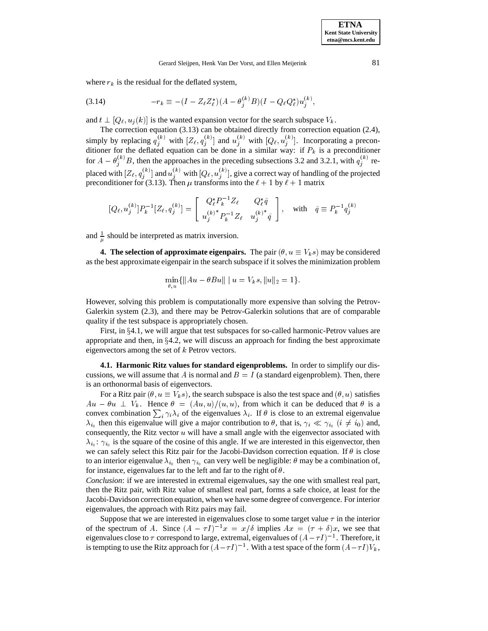where  $r_k$  is the residual for the deflated system,

$$
(3.14) \t-r_k \equiv -(I - Z_{\ell} Z_{\ell}^*)(A - \theta_j^{(k)} B)(I - Q_{\ell} Q_{\ell}^*) u_j^{(k)},
$$

and  $t \perp [Q_\ell, u_j (k)]$  is the wanted expansion vector for the search subspace  $V_k$ .

The correction equation (3.13) can be obtained directly from correction equation (2.4), simply by replacing  $q_i^{(k)}$  with  $[Z_\ell, q_i^{(k)}]$  and  $u_i^{(k)}$  with  $[Q_\ell, u_i^{(k)}]$ . Incorporating a preconditioner for the deflated equation can be done in a similar way: if  $P_k$  is a preconditioner for  $A - \theta_i^{(k)}B$ , then the approaches in the preceding subsections 3.2 and 3.2.1, with  $q_i^{(k)}$  replaced with  $[Z_\ell, q_j^{(k)}]$  and  $u_j^{(k)}$  with  $[Q_\ell, u_j^{(k)}]$ , give a correct way of handling of the projected preconditioner for (3.13). Then  $\mu$  transforms into the  $\ell + 1$  by  $\ell + 1$  matrix

$$
[Q_{\ell}, u_j^{(k)}]P_k^{-1}[Z_{\ell}, q_j^{(k)}] = \begin{bmatrix} Q_{\ell}^* P_k^{-1} Z_{\ell} & Q_{\ell}^* \tilde{q} \\ u_j^{(k)*} P_k^{-1} Z_{\ell} & u_j^{(k)*} \tilde{q} \end{bmatrix}, \text{ with } \tilde{q} \equiv P_k^{-1} q_j^{(k)}
$$

and  $\frac{1}{u}$  should be interpreted as matrix inversion.

**4. The selection of approximate eigenpairs.** The pair  $(\theta, u \equiv V_k s)$  may be considered as the best approximate eigenpair in the search subspace if it solves the minimization problem

$$
\min_{\theta, u} \{ ||Au - \theta Bu|| \mid u = V_k s, ||u||_2 = 1 \}.
$$

However, solving this problem is computationally more expensive than solving the Petrov-Galerkin system (2.3), and there may be Petrov-Galerkin solutions that are of comparable quality if the test subspace is appropriately chosen.

First, in  $\S 4.1$ , we will argue that test subspaces for so-called harmonic-Petrov values are appropriate and then, in  $\S 4.2$ , we will discuss an approach for finding the best approximate eigenvectors among the set of  $k$  Petrov vectors.

**4.1. Harmonic Ritz values for standard eigenproblems.** In order to simplify our discussions, we will assume that A is normal and  $B = I$  (a standard eigenproblem). Then, there is an orthonormal basis of eigenvectors.

For a Ritz pair  $(\theta, u \equiv V_k s)$ , the search subspace is also the test space and  $(\theta, u)$  satisfies  $Au - \theta u \perp V_k$ . Hence  $\theta = (Au, u)/(u, u)$ , from which it can be deduced that  $\theta$  is a convex combination  $\sum_i \gamma_i \lambda_i$  of the eigenvalues  $\lambda_i$ . If  $\theta$  is close to an extremal eigenvalue  $\lambda_{i_0}$  then this eigenvalue will give a major contribution to  $\theta$ , that is,  $\gamma_i \ll \gamma_{i_0}$  ( $i \neq i_0$ ) and, consequently, the Ritz vector  $u$  will have a small angle with the eigenvector associated with  $\lambda_{i_0}$ :  $\gamma_{i_0}$  is the square of the cosine of this angle. If we are interested in this eigenvector, then we can safely select this Ritz pair for the Jacobi-Davidson correction equation. If  $\theta$  is close to an interior eigenvalue  $\lambda_{i_0}$  then  $\gamma_{i_0}$  can very well be negligible:  $\theta$  may be a combination of, for instance, eigenvalues far to the left and far to the right of  $\theta$ .

*Conclusion*: if we are interested in extremal eigenvalues, say the one with smallest real part, then the Ritz pair, with Ritz value of smallest real part, forms a safe choice, at least for the Jacobi-Davidson correction equation, when we have some degree of convergence. For interior eigenvalues, the approach with Ritz pairs may fail.

Suppose that we are interested in eigenvalues close to some target value  $\tau$  in the interior of the spectrum of A. Since  $(A - \tau I)^{-1}x = x/\delta$  implies  $Ax = (\tau + \delta)x$ , we see that eigenvalues close to  $\tau$  correspond to large, extremal, eigenvalues of  $(A - \tau I)^{-1}$ . Therefore, it is tempting to use the Ritz approach for  $(A - \tau I)^{-1}$ . With a test space of the form  $(A - \tau I)V_k$ ,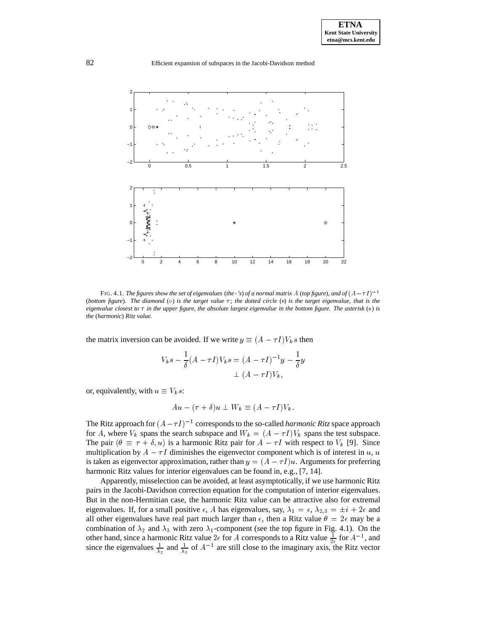

FIG. 4.1. *The figures show the set of eigenvalues (the*  $\cdot$ *'s) of a normal matrix* A (*top figure*)*, and of*  $(A - \tau I)^{-1}$ (*bottom figure*). The diamond  $(\diamond)$  is the target value  $\tau$ ; the dotted circle  $(\circ)$  is the target eigenvalue, that is the *eigenvalue closest to*  $\tau$  *in the upper figure, the absolute largest eigenvalue in the bottom figure. The asterisk*  $(*)$  *is the* (*harmonic*) *Ritz value.*

the matrix inversion can be avoided. If we write  $y \equiv (A - \tau I)V_k s$  then

$$
V_k s - \frac{1}{\delta} (A - \tau I) V_k s = (A - \tau I)^{-1} y - \frac{1}{\delta} y
$$
  
 
$$
\perp (A - \tau I) V_k,
$$

or, equivalently, with  $u \equiv V_k s$ :

$$
Au - (\tau + \delta)u \perp W_k \equiv (A - \tau I)V_k.
$$

The Ritz approach for  $(A - \tau I)^{-1}$  corresponds to the so-called *harmonic Ritz* space approach for A, where  $V_k$  spans the search subspace and  $W_k = (A - \tau I)V_k$  spans the test subspace. The pair  $(\theta \equiv \tau + \delta, u)$  is a harmonic Ritz pair for  $A - \tau I$  with respect to  $V_k$  [9]. Since multiplication by  $A - \tau I$  diminishes the eigenvector component which is of interest in u, u is taken as eigenvector approximation, rather than  $y = (A - \tau I)u$ . Arguments for preferring harmonic Ritz values for interior eigenvalues can be found in, e.g., [7, 14].

Apparently, misselection can be avoided, at least asymptotically, if we use harmonic Ritz pairs in the Jacobi-Davidson correction equation for the computation of interior eigenvalues. But in the non-Hermitian case, the harmonic Ritz value can be attractive also for extremal eigenvalues. If, for a small positive  $\epsilon$ , A has eigenvalues, say,  $\lambda_1 = \epsilon$ ,  $\lambda_{2,3} = \pm i + 2\epsilon$  and all other eigenvalues have real part much larger than  $\epsilon$ , then a Ritz value  $\theta = 2\epsilon$  may be a combination of  $\lambda_2$  and  $\lambda_3$  with zero  $\lambda_1$ -component (see the top figure in Fig. 4.1). On the other hand, since a harmonic Ritz value  $2\epsilon$  for A corresponds to a Ritz value  $\frac{1}{2\epsilon}$  for  $A^{-1}$ , and since the eigenvalues  $\frac{1}{\lambda_2}$  and  $\frac{1}{\lambda_3}$  of  $A^{-1}$  are still close to the imaginary axis, the Ritz vector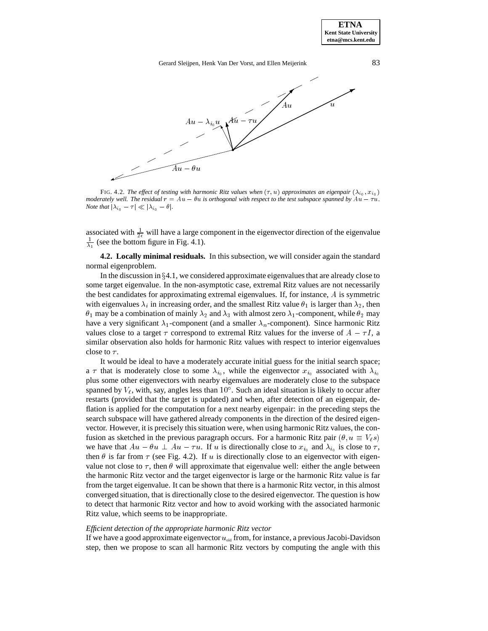**ETNA Kent State University etna@mcs.kent.edu**

## Gerard Sleijpen, Henk Van Der Vorst, and Ellen Meijerink 83



FIG. 4.2. *The effect of testing with harmonic Ritz values when*  $(\tau, u)$  *approximates an eigenpair*  $(\lambda_{i_0}, x_{i_0})$ *moderately well. The residual*  $r = Au - \theta u$  *is orthogonal with respect to the test subspace spanned by*  $Au - \tau u$ *. Note that*  $|\lambda_{i_0} - \tau| \ll |\lambda_{i_0} - \theta|$ .

associated with  $\frac{1}{2\epsilon}$  will have a large component in the eigenvector direction of the eigenvalue  $\frac{1}{2}$  (see the bottom figure in Fig. 4.1).

 $11.11$ 

**4.2. Locally minimal residuals.** In this subsection, we will consider again the standard normal eigenproblem.

In the discussion in  $\S 4.1$ , we considered approximate eigenvalues that are already close to some target eigenvalue. In the non-asymptotic case, extremal Ritz values are not necessarily the best candidates for approximating extremal eigenvalues. If, for instance, A is symmetric with eigenvalues  $\lambda_i$  in increasing order, and the smallest Ritz value  $\theta_1$  is larger than  $\lambda_2$ , then  $\theta_1$  may be a combination of mainly  $\lambda_2$  and  $\lambda_3$  with almost zero  $\lambda_1$ -component, while  $\theta_2$  may have a very significant  $\lambda_1$ -component (and a smaller  $\lambda_n$ -component). Since harmonic Ritz values close to a target  $\tau$  correspond to extremal Ritz values for the inverse of  $A - \tau I$ , a similar observation also holds for harmonic Ritz values with respect to interior eigenvalues close to  $\tau$ .

It would be ideal to have a moderately accurate initial guess for the initial search space; a  $\tau$  that is moderately close to some  $\lambda_{i_0}$ , while the eigenvector  $x_{i_0}$  associated with  $\lambda_{i_0}$ plus some other eigenvectors with nearby eigenvalues are moderately close to the subspace spanned by  $V_{\ell}$ , with, say, angles less than  $10^{\circ}$ . Such an ideal situation is likely to occur after restarts (provided that the target is updated) and when, after detection of an eigenpair, deflation is applied for the computation for a next nearby eigenpair: in the preceding steps the search subspace will have gathered already components in the direction of the desired eigenvector. However, it is precisely this situation were, when using harmonic Ritz values, the confusion as sketched in the previous paragraph occurs. For a harmonic Ritz pair  $(\theta, u \equiv V_\ell s)$ we have that  $Au - \theta u \perp Au - \tau u$ . If u is directionally close to  $x_{i_0}$  and  $\lambda_{i_0}$  is close to  $\tau$ , then  $\theta$  is far from  $\tau$  (see Fig. 4.2). If u is directionally close to an eigenvector with eigenvalue not close to  $\tau$ , then  $\theta$  will approximate that eigenvalue well: either the angle between the harmonic Ritz vector and the target eigenvector is large or the harmonic Ritz value is far from the target eigenvalue. It can be shown that there is a harmonic Ritz vector, in this almost converged situation, that is directionally close to the desired eigenvector. The question is how to detect that harmonic Ritz vector and how to avoid working with the associated harmonic Ritz value, which seems to be inappropriate.

#### *Efficient detection of the appropriate harmonic Ritz vector*

If we have a good approximate eigenvector  $u_{old}$  from, for instance, a previous Jacobi-Davidson step, then we propose to scan all harmonic Ritz vectors by computing the angle with this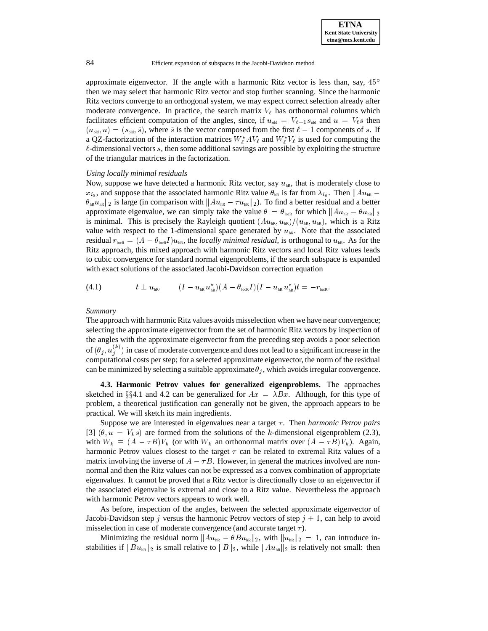approximate eigenvector. If the angle with a harmonic Ritz vector is less than, say,  $45^{\circ}$ then we may select that harmonic Ritz vector and stop further scanning. Since the harmonic Ritz vectors converge to an orthogonal system, we may expect correct selection already after moderate convergence. In practice, the search matrix  $V_\ell$  has orthonormal columns which facilitates efficient computation of the angles, since, if  $u_{old} = V_{\ell-1} s_{old}$  and  $u = V_{\ell} s$  then  $(u_{old}, u)=(s_{old}, \tilde{s})$ , where  $\tilde{s}$  is the vector composed from the first  $\ell - 1$  components of s. If a QZ-factorization of the interaction matrices  $W^*_{\ell} A V_{\ell}$  and  $W^*_{\ell} V_{\ell}$  is used for computing the  $\ell$ -dimensional vectors s, then some additional savings are possible by exploiting the structure of the triangular matrices in the factorization.

#### *Using locally minimal residuals*

Now, suppose we have detected a harmonic Ritz vector, say  $u_{hR}$ , that is moderately close to  $x_{i_0}$ , and suppose that the associated harmonic Ritz value  $\theta_{hR}$  is far from  $\lambda_{i_0}$ . Then  $||Au_{hR} \|\theta_{hR}u_{hR}\|_2$  is large (in comparison with  $\|Au_{hR} - \tau u_{hR}\|_2$ ). To find a better residual and a better approximate eigenvalue, we can simply take the value  $\theta = \theta_{\text{locR}}$  for which  $||Au_{\text{in}} - \theta u_{\text{in}}||_2$ is minimal. This is precisely the Rayleigh quotient  $(Au_{hR}, u_{hR})/(u_{hR}, u_{hR})$ , which is a Ritz value with respect to the 1-dimensional space generated by  $u_{hR}$ . Note that the associated residual  $r_{\text{lock}} = (A - \theta_{\text{lock}} I)u_{\text{nk}}$ , the *locally minimal residual*, is orthogonal to  $u_{\text{nk}}$ . As for the Ritz approach, this mixed approach with harmonic Ritz vectors and local Ritz values leads to cubic convergence for standard normal eigenproblems, if the search subspace is expanded with exact solutions of the associated Jacobi-Davidson correction equation

$$
(4.1) \t t \perp u_{\text{hR}}, \t (I - u_{\text{hR}} u_{\text{hR}}^*)(A - \theta_{\text{locR}} I)(I - u_{\text{hR}} u_{\text{hR}}^*)t = -r_{\text{locR}}.
$$

#### *Summary*

The approach with harmonic Ritz values avoids misselection when we have near convergence; selecting the approximate eigenvector from the set of harmonic Ritz vectors by inspection of the angles with the approximate eigenvector from the preceding step avoids a poor selection of  $(\theta_j, u_j^{(k)})$  in case of moderate convergence and does not lead to a significant increase in the computational costs per step; for a selected approximate eigenvector, the norm of the residual can be minimized by selecting a suitable approximate  $\theta_i$ , which avoids irregular convergence.

**4.3. Harmonic Petrov values for generalized eigenproblems.** The approaches sketched in §§4.1 and 4.2 can be generalized for  $Ax = \lambda Bx$ . Although, for this type of problem, a theoretical justification can generally not be given, the approach appears to be practical. We will sketch its main ingredients.

Suppose we are interested in eigenvalues near a target  $\tau$ . Then *harmonic Petrov pairs* [3]  $(\theta, u = V_k s)$  are formed from the solutions of the k-dimensional eigenproblem (2.3), with  $W_k \equiv (A - \tau B)V_k$  (or with  $W_k$  an orthonormal matrix over  $(A - \tau B)V_k$ ). Again, harmonic Petrov values closest to the target  $\tau$  can be related to extremal Ritz values of a matrix involving the inverse of  $A - \tau B$ . However, in general the matrices involved are nonnormal and then the Ritz values can not be expressed as a convex combination of appropriate eigenvalues. It cannot be proved that a Ritz vector is directionally close to an eigenvector if the associated eigenvalue is extremal and close to a Ritz value. Nevertheless the approach with harmonic Petrov vectors appears to work well.

As before, inspection of the angles, between the selected approximate eigenvector of Jacobi-Davidson step j versus the harmonic Petrov vectors of step  $j + 1$ , can help to avoid misselection in case of moderate convergence (and accurate target  $\tau$ ).

Minimizing the residual norm  $||Au_{hR} - \theta Bu_{hR}||_2$ , with  $||u_{hR}||_2 = 1$ , can introduce instabilities if  $\|Bu_{nR}\|_2$  is small relative to  $\|B\|_2$ , while  $\|Au_{nR}\|_2$  is relatively not small: then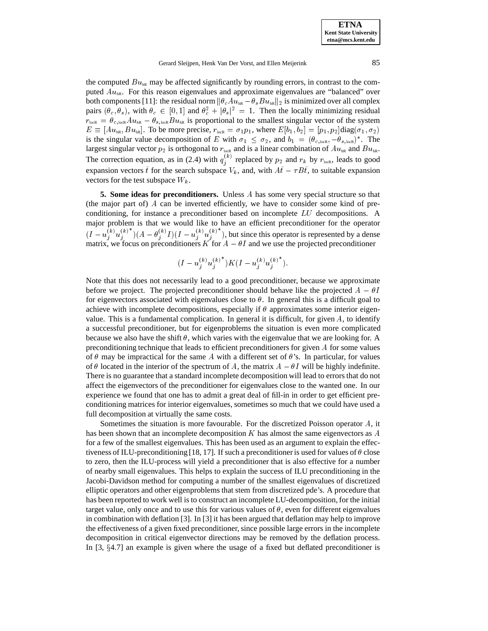**ETNA Kent State University etna@mcs.kent.edu**

Gerard Sleijpen, Henk Van Der Vorst, and Ellen Meijerink 85

the computed  $Bu<sub>hR</sub>$  may be affected significantly by rounding errors, in contrast to the computed  $Au_{\text{nk}}$ . For this reason eigenvalues and approximate eigenvalues are "balanced" over both components [11]: the residual norm  $\|\theta_c Au_{hR} - \theta_sBu_{hR}\|_2$  is minimized over all complex pairs  $(\theta_c, \theta_s)$ , with  $\theta_c \in [0, 1]$  and  $\theta_c^2 + |\theta_s|^2 = 1$ . Then the locally minimizing residual  $r_{\text{lock}} = \theta_{c,\text{lock}} A u_{\text{hR}} - \theta_{s,\text{lock}} B u_{\text{hR}}$  is proportional to the smallest singular vector of the system  $E \equiv [Au_{\text{hR}},Bu_{\text{hR}}]$ . To be more precise,  $r_{\text{loCR}} = \sigma_1 p_1$ , where  $E[b_1, b_2] = [p_1, p_2] \text{diag}(\sigma_1, \sigma_2)$ is the singular value decomposition of E with  $\sigma_1 \leq \sigma_2$ , and  $b_1 = (\theta_{c,\text{lock}}, -\theta_{s,\text{lock}})^*$ . The largest singular vector  $p_2$  is orthogonal to  $r_{\text{lock}}$  and is a linear combination of  $Au_{\text{hR}}$  and  $Bu_{\text{hR}}$ . The correction equation, as in (2.4) with  $q_i^{(k)}$  repla  $j_i^{(k)}$  replaced by  $p_2$  and  $r_k$  by  $r_{\text{lock}}$ , leads to good expansion vectors  $\tilde{t}$  for the search subspace  $V_k$ , and, with  $A\tilde{t} - \tau B\tilde{t}$ , to suitable expansion vectors for the test subspace  $W_k$ .

**5. Some ideas for preconditioners.** Unless A has some very special structure so that (the major part of) <sup>A</sup> can be inverted efficiently, we have to consider some kind of preconditioning, for instance a preconditioner based on incomplete LU decompositions. A major problem is that we would like to have an efficient preconditioner for the operator  $(I - u_i^{(k)} u_j^{(k)}) (A - \theta_i^{(k)} I)(I - u_i^{(k)} u_j^{(k)})$ , but since this operator is represented by a dense matrix, we focus on preconditioners K for  $A - \theta I$  and we use the projected preconditioner

$$
(I - u_j^{(k)} {u_j^{(k)}}^*) K (I - u_j^{(k)} {u_j^{(k)}}^*) .
$$

Note that this does not necessarily lead to a good preconditioner, because we approximate before we project. The projected preconditioner should behave like the projected  $A - \theta I$ for eigenvectors associated with eigenvalues close to  $\theta$ . In general this is a difficult goal to achieve with incomplete decompositions, especially if  $\theta$  approximates some interior eigenvalue. This is a fundamental complication. In general it is difficult, for given  $A$ , to identify a successful preconditioner, but for eigenproblems the situation is even more complicated because we also have the shift  $\theta$ , which varies with the eigenvalue that we are looking for. A preconditioning technique that leads to efficient preconditioners for given  $A$  for some values of  $\theta$  may be impractical for the same A with a different set of  $\theta$ 's. In particular, for values of  $\theta$  located in the interior of the spectrum of A, the matrix  $A - \theta I$  will be highly indefinite. There is no guarantee that a standard incomplete decomposition will lead to errors that do not affect the eigenvectors of the preconditioner for eigenvalues close to the wanted one. In our experience we found that one has to admit a great deal of fill-in in order to get efficient preconditioning matrices for interior eigenvalues, sometimes so much that we could have used a full decomposition at virtually the same costs.

Sometimes the situation is more favourable. For the discretized Poisson operator A, it has been shown that an incomplete decomposition  $K$  has almost the same eigenvectors as  $A$ for a few of the smallest eigenvalues. This has been used as an argument to explain the effectiveness of ILU-preconditioning [18, 17]. If such a preconditioner is used for values of  $\theta$  close to zero, then the ILU-process will yield a preconditioner that is also effective for a number of nearby small eigenvalues. This helps to explain the success of ILU preconditioning in the Jacobi-Davidson method for computing a number of the smallest eigenvalues of discretized elliptic operators and other eigenproblems that stem from discretized pde's. A procedure that has been reported to work well is to construct an incomplete LU-decomposition, for the initial target value, only once and to use this for various values of  $\theta$ , even for different eigenvalues in combination with deflation [3]. In [3] it has been argued that deflation may help to improve the effectiveness of a given fixed preconditioner, since possible large errors in the incomplete decomposition in critical eigenvector directions may be removed by the deflation process. In  $[3, §4.7]$  an example is given where the usage of a fixed but deflated preconditioner is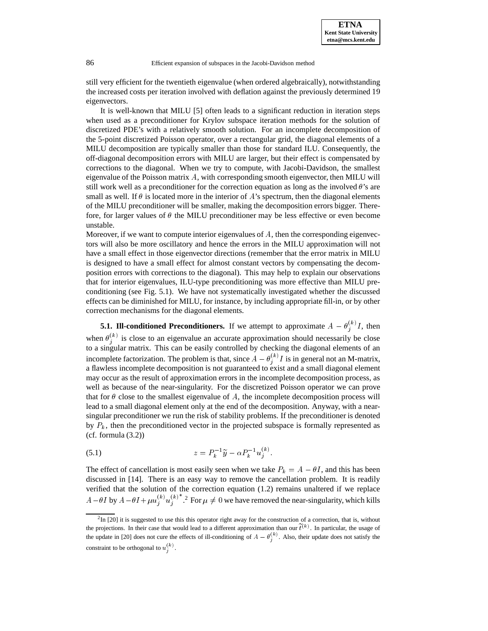**ETNA Kent State University etna@mcs.kent.edu**

still very efficient for the twentieth eigenvalue (when ordered algebraically), notwithstanding the increased costs per iteration involved with deflation against the previously determined <sup>19</sup> eigenvectors.

It is well-known that MILU [5] often leads to a significant reduction in iteration steps when used as a preconditioner for Krylov subspace iteration methods for the solution of discretized PDE's with a relatively smooth solution. For an incomplete decomposition of the 5-point discretized Poisson operator, over a rectangular grid, the diagonal elements of a MILU decomposition are typically smaller than those for standard ILU. Consequently, the off-diagonal decomposition errors with MILU are larger, but their effect is compensated by corrections to the diagonal. When we try to compute, with Jacobi-Davidson, the smallest eigenvalue of the Poisson matrix A, with corresponding smooth eigenvector, then MILU will still work well as a preconditioner for the correction equation as long as the involved  $\theta$ 's are small as well. If  $\theta$  is located more in the interior of A's spectrum, then the diagonal elements of the MILU preconditioner will be smaller, making the decomposition errors bigger. Therefore, for larger values of  $\theta$  the MILU preconditioner may be less effective or even become unstable.

Moreover, if we want to compute interior eigenvalues of  $A$ , then the corresponding eigenvectors will also be more oscillatory and hence the errors in the MILU approximation will not have a small effect in those eigenvector directions (remember that the error matrix in MILU is designed to have a small effect for almost constant vectors by compensating the decomposition errors with corrections to the diagonal). This may help to explain our observations that for interior eigenvalues, ILU-type preconditioning was more effective than MILU preconditioning (see Fig. 5.1). We have not systematically investigated whether the discussed effects can be diminished for MILU, for instance, by including appropriate fill-in, or by other correction mechanisms for the diagonal elements.

## **5.1. Ill-conditioned Preconditioners.** If we attempt to approximate  $A - \theta_i^{(k)}I$ , then

when  $\theta_j^{(k)}$  is close to an eigenvalue an accurate approximation should necessarily be close to a singular matrix. This can be easily controlled by checking the diagonal elements of an incomplete factorization. The problem is that, since  $A - \theta_i^{(k)} I$  is in general not an M-matrix, a flawless incomplete decomposition is not guaranteed to exist and a small diagonal element may occur as the result of approximation errors in the incomplete decomposition process, as well as because of the near-singularity. For the discretized Poisson operator we can prove that for  $\theta$  close to the smallest eigenvalue of A, the incomplete decomposition process will lead to a small diagonal element only at the end of the decomposition. Anyway, with a nearsingular preconditioner we run the risk of stability problems. If the preconditioner is denoted by  $P_k$ , then the preconditioned vector in the projected subspace is formally represented as  $(cf. formula (3.2))$ 

$$
(5.1) \t\t\t z = P_k^{-1} \widetilde{y} - \alpha P_k^{-1} u_j^{(k)}.
$$

in the contract of the contract of the contract of the contract of the contract of the contract of the contract of

The effect of cancellation is most easily seen when we take  $P_k = A - \theta I$ , and this has been discussed in [14]. There is an easy way to remove the cancellation problem. It is readily verified that the solution of the correction equation (1.2) remains unaltered if we replace  $A-\theta I$  by  $A-\theta I+\mu u_i^{(k)}u_i^{(k)}$ . For  $\mu\neq 0$  we have removed the near-singularity, which kills

 ${}^{2}$ In [20] it is suggested to use this this operator right away for the construction of a correction, that is, without the projections. In their case that would lead to a different approximation than our  $t^{(k)}$ . In particular, the usage of the update in [20] does not cure the effects of ill-conditioning of  $A - \theta_j^{(k)}$ . Also, their update does not satisfy the constraint to be orthogonal to  $u_i^{(k)}$ .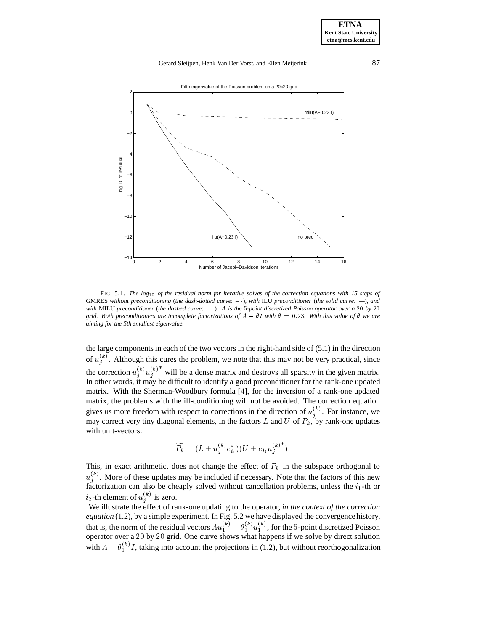## Gerard Sleijpen, Henk Van Der Vorst, and Ellen Meijerink 87



FIG. 5.1. *The log*<sup>10</sup> *of the residual norm for iterative solves of the correction equations with 15 steps of* GMRES *without preconditioning* (*the dash-dotted curve*: *–* )*, with* ILU *preconditioner* (*the solid curve: —*)*, and with* MILU *preconditioner* (*the dashed curve*: *– –*)*.* A *is the* <sup>5</sup>*-point discretized Poisson operator over a* <sup>20</sup> *by* <sup>20</sup> *grid. Both preconditioners are incomplete factorizations of*  $A - \theta I$  with  $\theta = 0.23$ *. With this value of*  $\theta$  we are *aiming for the 5th smallest eigenvalue.*

the large components in each of the two vectors in the right-hand side of (5.1) in the direction of  $u_i^{(k)}$ . Although this cures the problem, we note that this may not be very practical, since <sup>j</sup> the correction  $u_j^{(k)} u_j^{(k)}$  will be a dense matrix and destroys all sparsity in the given matrix. In other words, it may be difficult to identify a good preconditioner for the rank-one updated matrix. With the Sherman-Woodbury formula [4], for the inversion of a rank-one updated matrix, the problems with the ill-conditioning will not be avoided. The correction equation gives us more freedom with respect to corrections in the direction of  $u_j^{(k)}$ . For instance, we may correct very tiny diagonal elements, in the factors L and U of  $P_k$ , by rank-one updates with unit-vectors:

$$
\widetilde{P_k} = (L + u_j^{(k)} e_{i_1}^*) (U + e_{i_2} u_j^{(k)^*}).
$$

This, in exact arithmetic, does not change the effect of  $P_k$  in the subspace orthogonal to  $u^{\cdots}$ . More  $j^{(k)}$ . More of these updates may be included if necessary. Note that the factors of this new factorization can also be cheaply solved without cancellation problems, unless the  $i_1$ -th or  $i_2$ -th element of  $u_j^{(k)}$  is zero.

We illustrate the effect of rank-one updating to the operator, *in the context of the correction equation* (1.2), by a simple experiment. In Fig. 5.2 we have displayed the convergence history, that is, the norm of the residual vectors  $Au_1^{(k)} - \theta_1^{(k)} u_1^{(k)}$ , for the 5-point discretized Poisson operator over a <sup>20</sup> by <sup>20</sup> grid. One curve shows what happens if we solve by direct solution with  $A - \theta_1^{(k)} I$ , taking into account the projections in (1.2), but without reorthogonalization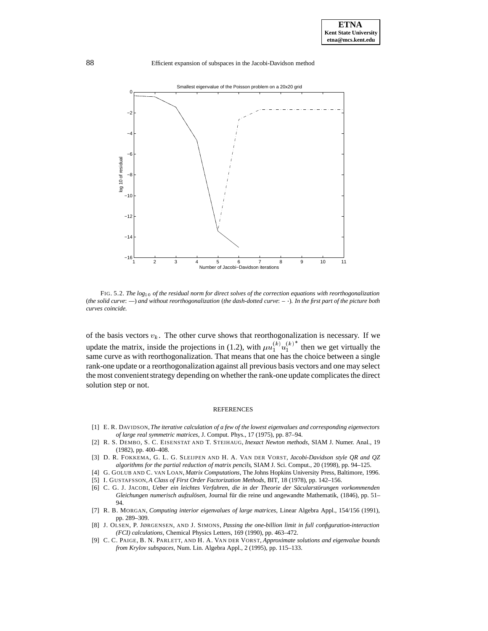

FIG. 5.2. *The log*<sup>10</sup> *of the residual norm for direct solves of the correction equations with reorthogonalization* (*the solid curve*: *—*) *and without reorthogonalization* (*the dash-dotted curve*: *–* )*. In the first part of the picture both curves coincide.*

of the basis vectors  $v_k$ . The other curve shows that reorthogonalization is necessary. If we update the matrix, inside the projections in (1.2), with  $\mu u_1^{(k)} u_1^{(k)}$  then we get virtually the same curve as with reorthogonalization. That means that one has the choice between a single rank-one update or a reorthogonalization against all previous basis vectors and one may select the most convenient strategy depending on whether the rank-one update complicates the direct solution step or not.

#### REFERENCES

- [1] E. R. DAVIDSON, *The iterative calculation of a few of the lowest eigenvalues and corresponding eigenvectors of large real symmetric matrices*, J. Comput. Phys., 17 (1975), pp. 87–94.
- [2] R. S. DEMBO, S. C. EISENSTAT AND T. STEIHAUG, *Inexact Newton methods*, SIAM J. Numer. Anal., 19 (1982), pp. 400–408.
- [3] D. R. FOKKEMA, G. L. G. SLEIJPEN AND H. A. VAN DER VORST, *Jacobi-Davidson style QR and QZ algorithms for the partial reduction of matrix pencils*, SIAM J. Sci. Comput., 20 (1998), pp. 94–125.
- [4] G. GOLUB AND C. VAN LOAN, *Matrix Computations*, The Johns Hopkins University Press, Baltimore, 1996.
- [5] I. GUSTAFSSON, *A Class of First Order Factorization Methods*, BIT, 18 (1978), pp. 142–156.
- [6] C. G. J. JACOBI, *Ueber ein leichtes Verfahren, die in der Theorie der Säcularstörungen vorkommenden Gleichungen numerisch aufzulösen*, Journal für die reine und angewandte Mathematik, (1846), pp. 51-94.
- [7] R. B. MORGAN, *Computing interior eigenvalues of large matrices*, Linear Algebra Appl., 154/156 (1991), pp. 289–309.
- [8] J. OLSEN, P. JØRGENSEN, AND J. SIMONS, *Passing the one-billion limit in full configuration-interaction (FCI) calculations*, Chemical Physics Letters, 169 (1990), pp. 463–472.
- [9] C. C. PAIGE, B. N. PARLETT, AND H. A. VAN DER VORST, *Approximate solutions and eigenvalue bounds from Krylov subspaces*, Num. Lin. Algebra Appl., 2 (1995), pp. 115–133.